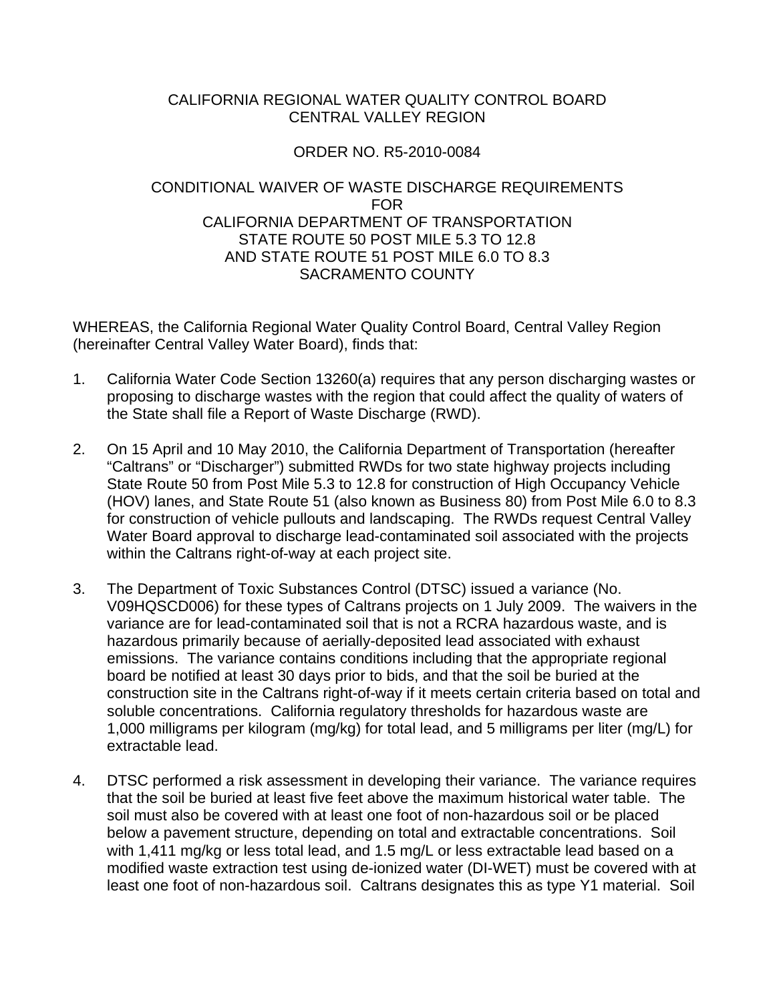### CALIFORNIA REGIONAL WATER QUALITY CONTROL BOARD CENTRAL VALLEY REGION

## ORDER NO. R5-2010-0084

## CONDITIONAL WAIVER OF WASTE DISCHARGE REQUIREMENTS FOR CALIFORNIA DEPARTMENT OF TRANSPORTATION STATE ROUTE 50 POST MILE 5.3 TO 12.8 AND STATE ROUTE 51 POST MILE 6.0 TO 8.3 SACRAMENTO COUNTY

WHEREAS, the California Regional Water Quality Control Board, Central Valley Region (hereinafter Central Valley Water Board), finds that:

- 1. California Water Code Section 13260(a) requires that any person discharging wastes or proposing to discharge wastes with the region that could affect the quality of waters of the State shall file a Report of Waste Discharge (RWD).
- 2. On 15 April and 10 May 2010, the California Department of Transportation (hereafter "Caltrans" or "Discharger") submitted RWDs for two state highway projects including State Route 50 from Post Mile 5.3 to 12.8 for construction of High Occupancy Vehicle (HOV) lanes, and State Route 51 (also known as Business 80) from Post Mile 6.0 to 8.3 for construction of vehicle pullouts and landscaping. The RWDs request Central Valley Water Board approval to discharge lead-contaminated soil associated with the projects within the Caltrans right-of-way at each project site.
- 3. The Department of Toxic Substances Control (DTSC) issued a variance (No. V09HQSCD006) for these types of Caltrans projects on 1 July 2009. The waivers in the variance are for lead-contaminated soil that is not a RCRA hazardous waste, and is hazardous primarily because of aerially-deposited lead associated with exhaust emissions. The variance contains conditions including that the appropriate regional board be notified at least 30 days prior to bids, and that the soil be buried at the construction site in the Caltrans right-of-way if it meets certain criteria based on total and soluble concentrations. California regulatory thresholds for hazardous waste are 1,000 milligrams per kilogram (mg/kg) for total lead, and 5 milligrams per liter (mg/L) for extractable lead.
- 4. DTSC performed a risk assessment in developing their variance. The variance requires that the soil be buried at least five feet above the maximum historical water table. The soil must also be covered with at least one foot of non-hazardous soil or be placed below a pavement structure, depending on total and extractable concentrations. Soil with 1,411 mg/kg or less total lead, and 1.5 mg/L or less extractable lead based on a modified waste extraction test using de-ionized water (DI-WET) must be covered with at least one foot of non-hazardous soil. Caltrans designates this as type Y1 material. Soil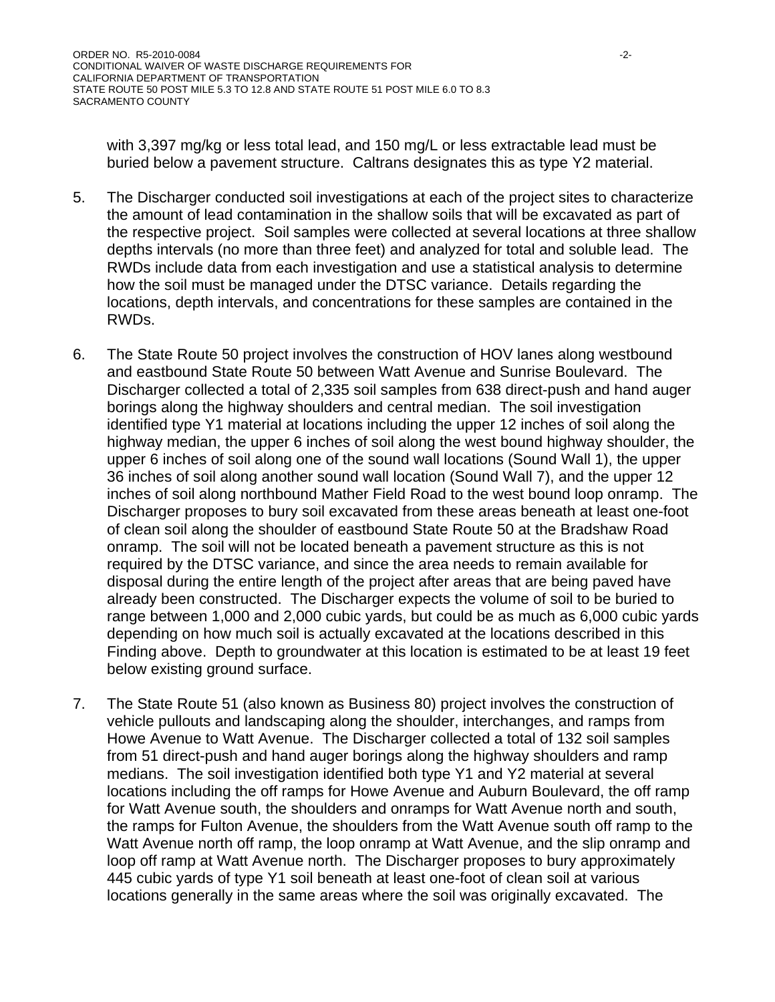with 3,397 mg/kg or less total lead, and 150 mg/L or less extractable lead must be buried below a pavement structure. Caltrans designates this as type Y2 material.

- 5. The Discharger conducted soil investigations at each of the project sites to characterize the amount of lead contamination in the shallow soils that will be excavated as part of the respective project. Soil samples were collected at several locations at three shallow depths intervals (no more than three feet) and analyzed for total and soluble lead. The RWDs include data from each investigation and use a statistical analysis to determine how the soil must be managed under the DTSC variance. Details regarding the locations, depth intervals, and concentrations for these samples are contained in the RWDs.
- 6. The State Route 50 project involves the construction of HOV lanes along westbound and eastbound State Route 50 between Watt Avenue and Sunrise Boulevard. The Discharger collected a total of 2,335 soil samples from 638 direct-push and hand auger borings along the highway shoulders and central median. The soil investigation identified type Y1 material at locations including the upper 12 inches of soil along the highway median, the upper 6 inches of soil along the west bound highway shoulder, the upper 6 inches of soil along one of the sound wall locations (Sound Wall 1), the upper 36 inches of soil along another sound wall location (Sound Wall 7), and the upper 12 inches of soil along northbound Mather Field Road to the west bound loop onramp. The Discharger proposes to bury soil excavated from these areas beneath at least one-foot of clean soil along the shoulder of eastbound State Route 50 at the Bradshaw Road onramp. The soil will not be located beneath a pavement structure as this is not required by the DTSC variance, and since the area needs to remain available for disposal during the entire length of the project after areas that are being paved have already been constructed. The Discharger expects the volume of soil to be buried to range between 1,000 and 2,000 cubic yards, but could be as much as 6,000 cubic yards depending on how much soil is actually excavated at the locations described in this Finding above. Depth to groundwater at this location is estimated to be at least 19 feet below existing ground surface.
- <span id="page-1-0"></span>7. The State Route 51 (also known as Business 80) project involves the construction of vehicle pullouts and landscaping along the shoulder, interchanges, and ramps from Howe Avenue to Watt Avenue. The Discharger collected a total of 132 soil samples from 51 direct-push and hand auger borings along the highway shoulders and ramp medians. The soil investigation identified both type Y1 and Y2 material at several locations including the off ramps for Howe Avenue and Auburn Boulevard, the off ramp for Watt Avenue south, the shoulders and onramps for Watt Avenue north and south, the ramps for Fulton Avenue, the shoulders from the Watt Avenue south off ramp to the Watt Avenue north off ramp, the loop onramp at Watt Avenue, and the slip onramp and loop off ramp at Watt Avenue north. The Discharger proposes to bury approximately 445 cubic yards of type Y1 soil beneath at least one-foot of clean soil at various locations generally in the same areas where the soil was originally excavated. The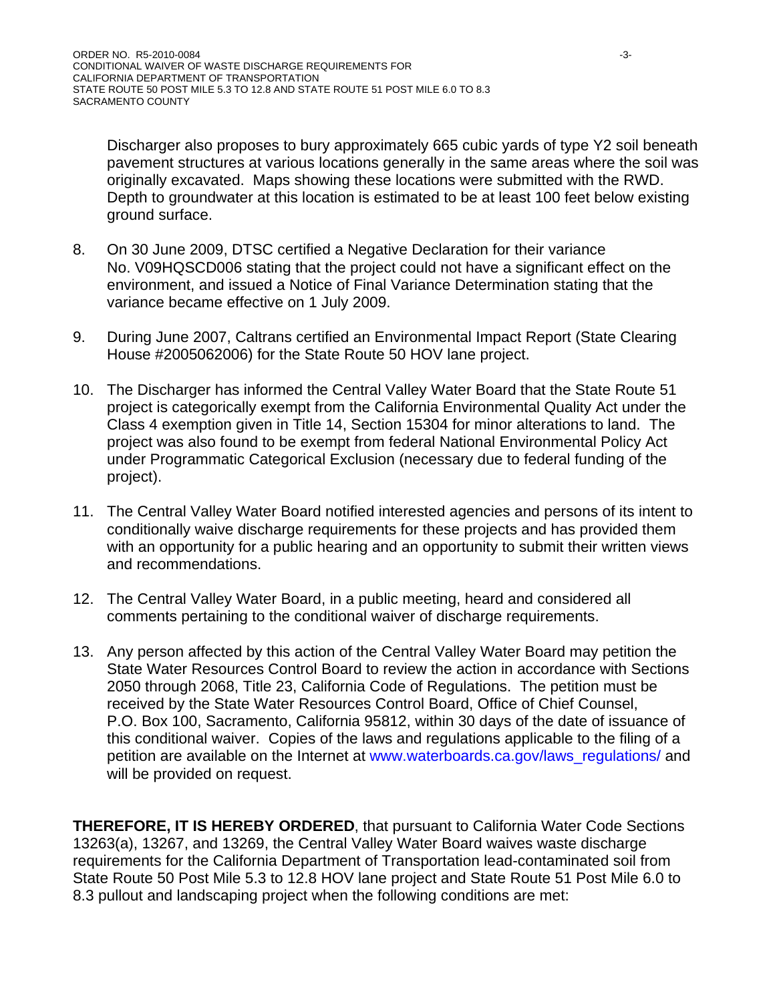Discharger also proposes to bury approximately 665 cubic yards of type Y2 soil beneath pavement structures at various locations generally in the same areas where the soil was originally excavated. Maps showing these locations were submitted with the RWD. Depth to groundwater at this location is estimated to be at least 100 feet below existing ground surface.

- 8. On 30 June 2009, DTSC certified a Negative Declaration for their variance No. V09HQSCD006 stating that the project could not have a significant effect on the environment, and issued a Notice of Final Variance Determination stating that the variance became effective on 1 July 2009.
- 9. During June 2007, Caltrans certified an Environmental Impact Report (State Clearing House #2005062006) for the State Route 50 HOV lane project.
- 10. The Discharger has informed the Central Valley Water Board that the State Route 51 project is categorically exempt from the California Environmental Quality Act under the Class 4 exemption given in Title 14, Section 15304 for minor alterations to land. The project was also found to be exempt from federal National Environmental Policy Act under Programmatic Categorical Exclusion (necessary due to federal funding of the project).
- 11. The Central Valley Water Board notified interested agencies and persons of its intent to conditionally waive discharge requirements for these projects and has provided them with an opportunity for a public hearing and an opportunity to submit their written views and recommendations.
- 12. The Central Valley Water Board, in a public meeting, heard and considered all comments pertaining to the conditional waiver of discharge requirements.
- 13. Any person affected by this action of the Central Valley Water Board may petition the State Water Resources Control Board to review the action in accordance with Sections 2050 through 2068, Title 23, California Code of Regulations. The petition must be received by the State Water Resources Control Board, Office of Chief Counsel, P.O. Box 100, Sacramento, California 95812, within 30 days of the date of issuance of this conditional waiver. Copies of the laws and regulations applicable to the filing of a petition are available on the Internet at [www.waterboards.ca.gov/laws\\_regulations/](http://www.waterboards.ca.gov/laws_regulations/) and will be provided on request.

**THEREFORE, IT IS HEREBY ORDERED**, that pursuant to California Water Code Sections 13263(a), 13267, and 13269, the Central Valley Water Board waives waste discharge requirements for the California Department of Transportation lead-contaminated soil from State Route 50 Post Mile 5.3 to 12.8 HOV lane project and State Route 51 Post Mile 6.0 to 8.3 pullout and landscaping project when the following conditions are met: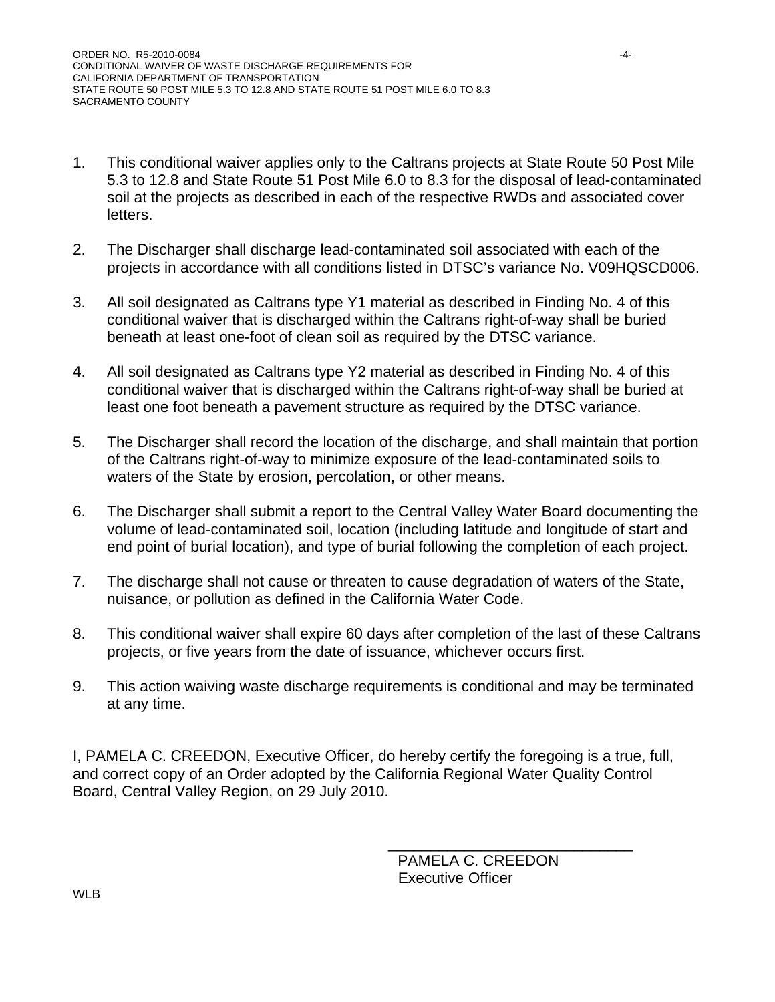- 1. This conditional waiver applies only to the Caltrans projects at State Route 50 Post Mile 5.3 to 12.8 and State Route 51 Post Mile 6.0 to 8.3 for the disposal of lead-contaminated soil at the projects as described in each of the respective RWDs and associated cover letters.
- 2. The Discharger shall discharge lead-contaminated soil associated with each of the projects in accordance with all conditions listed in DTSC's variance No. V09HQSCD006.
- 3. All soil designated as Caltrans type Y1 material as described in Finding No. [4](#page-1-0) of this conditional waiver that is discharged within the Caltrans right-of-way shall be buried beneath at least one-foot of clean soil as required by the DTSC variance.
- 4. All soil designated as Caltrans type Y2 material as described in Finding No. [4](#page-1-0) of this conditional waiver that is discharged within the Caltrans right-of-way shall be buried at least one foot beneath a pavement structure as required by the DTSC variance.
- 5. The Discharger shall record the location of the discharge, and shall maintain that portion of the Caltrans right-of-way to minimize exposure of the lead-contaminated soils to waters of the State by erosion, percolation, or other means.
- 6. The Discharger shall submit a report to the Central Valley Water Board documenting the volume of lead-contaminated soil, location (including latitude and longitude of start and end point of burial location), and type of burial following the completion of each project.
- 7. The discharge shall not cause or threaten to cause degradation of waters of the State, nuisance, or pollution as defined in the California Water Code.
- 8. This conditional waiver shall expire 60 days after completion of the last of these Caltrans projects, or five years from the date of issuance, whichever occurs first.
- 9. This action waiving waste discharge requirements is conditional and may be terminated at any time.

I, PAMELA C. CREEDON, Executive Officer, do hereby certify the foregoing is a true, full, and correct copy of an Order adopted by the California Regional Water Quality Control Board, Central Valley Region, on 29 July 2010.

\_\_\_\_\_\_\_\_\_\_\_\_\_\_\_\_\_\_\_\_\_\_\_\_\_\_\_\_\_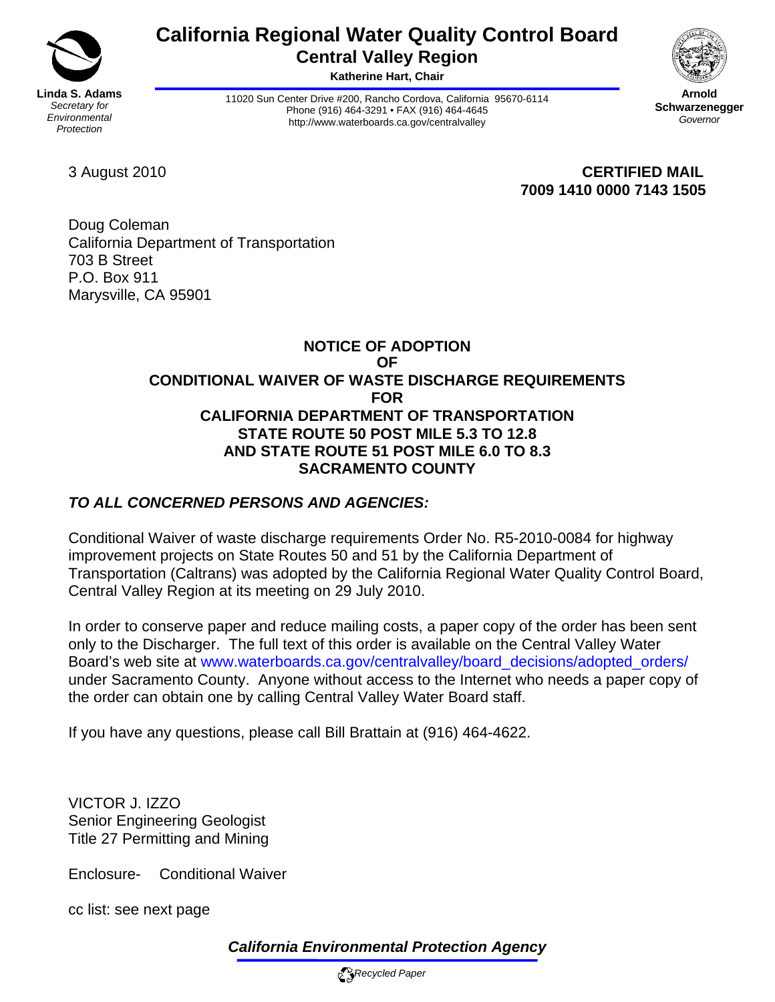

# **California Regional Water Quality Control Board Central Valley Region**

**Katherine Hart, Chair** 



11020 Sun Center Drive #200, Rancho Cordova, California 95670-6114 Phone (916) 464-3291 • FAX (916) 464-4645 http://www.waterboards.ca.gov/centralvalley



3 August 2010 **CERTIFIED MAIL 7009 1410 0000 7143 1505** 

Doug Coleman California Department of Transportation 703 B Street P.O. Box 911 Marysville, CA 95901

# **NOTICE OF ADOPTION OF CONDITIONAL WAIVER OF WASTE DISCHARGE REQUIREMENTS FOR CALIFORNIA DEPARTMENT OF TRANSPORTATION STATE ROUTE 50 POST MILE 5.3 TO 12.8 AND STATE ROUTE 51 POST MILE 6.0 TO 8.3 SACRAMENTO COUNTY**

# *TO ALL CONCERNED PERSONS AND AGENCIES:*

Conditional Waiver of waste discharge requirements Order No. R5-2010-0084 for highway improvement projects on State Routes 50 and 51 by the California Department of Transportation (Caltrans) was adopted by the California Regional Water Quality Control Board, Central Valley Region at its meeting on 29 July 2010.

In order to conserve paper and reduce mailing costs, a paper copy of the order has been sent only to the Discharger. The full text of this order is available on the Central Valley Water Board's web site at www.waterboards.ca.gov/centralvalley/board decisions/adopted orders/ under Sacramento County. Anyone without access to the Internet who needs a paper copy of the order can obtain one by calling Central Valley Water Board staff.

If you have any questions, please call Bill Brattain at (916) 464-4622.

VICTOR J. IZZO Senior Engineering Geologist Title 27 Permitting and Mining

Enclosure- Conditional Waiver

cc list: see next page

*California Environmental Protection Agency*